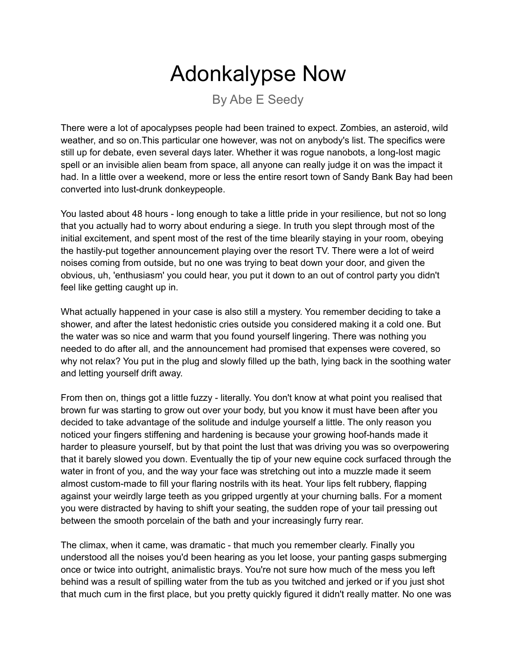## Adonkalypse Now

By Abe E Seedy

There were a lot of apocalypses people had been trained to expect. Zombies, an asteroid, wild weather, and so on.This particular one however, was not on anybody's list. The specifics were still up for debate, even several days later. Whether it was rogue nanobots, a long-lost magic spell or an invisible alien beam from space, all anyone can really judge it on was the impact it had. In a little over a weekend, more or less the entire resort town of Sandy Bank Bay had been converted into lust-drunk donkeypeople.

You lasted about 48 hours - long enough to take a little pride in your resilience, but not so long that you actually had to worry about enduring a siege. In truth you slept through most of the initial excitement, and spent most of the rest of the time blearily staying in your room, obeying the hastily-put together announcement playing over the resort TV. There were a lot of weird noises coming from outside, but no one was trying to beat down your door, and given the obvious, uh, 'enthusiasm' you could hear, you put it down to an out of control party you didn't feel like getting caught up in.

What actually happened in your case is also still a mystery. You remember deciding to take a shower, and after the latest hedonistic cries outside you considered making it a cold one. But the water was so nice and warm that you found yourself lingering. There was nothing you needed to do after all, and the announcement had promised that expenses were covered, so why not relax? You put in the plug and slowly filled up the bath, lying back in the soothing water and letting yourself drift away.

From then on, things got a little fuzzy - literally. You don't know at what point you realised that brown fur was starting to grow out over your body, but you know it must have been after you decided to take advantage of the solitude and indulge yourself a little. The only reason you noticed your fingers stiffening and hardening is because your growing hoof-hands made it harder to pleasure yourself, but by that point the lust that was driving you was so overpowering that it barely slowed you down. Eventually the tip of your new equine cock surfaced through the water in front of you, and the way your face was stretching out into a muzzle made it seem almost custom-made to fill your flaring nostrils with its heat. Your lips felt rubbery, flapping against your weirdly large teeth as you gripped urgently at your churning balls. For a moment you were distracted by having to shift your seating, the sudden rope of your tail pressing out between the smooth porcelain of the bath and your increasingly furry rear.

The climax, when it came, was dramatic - that much you remember clearly. Finally you understood all the noises you'd been hearing as you let loose, your panting gasps submerging once or twice into outright, animalistic brays. You're not sure how much of the mess you left behind was a result of spilling water from the tub as you twitched and jerked or if you just shot that much cum in the first place, but you pretty quickly figured it didn't really matter. No one was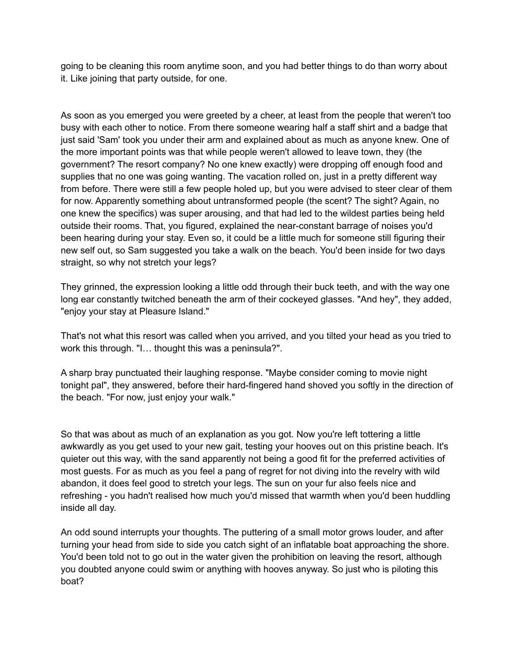going to be cleaning this room anytime soon, and you had better things to do than worry about it. Like joining that party outside, for one.

As soon as you emerged you were greeted by a cheer, at least from the people that weren't too busy with each other to notice. From there someone wearing half a staff shirt and a badge that just said 'Sam' took you under their arm and explained about as much as anyone knew. One of the more important points was that while people weren't allowed to leave town, they (the government? The resort company? No one knew exactly) were dropping off enough food and supplies that no one was going wanting. The vacation rolled on, just in a pretty different way from before. There were still a few people holed up, but you were advised to steer clear of them for now. Apparently something about untransformed people (the scent? The sight? Again, no one knew the specifics) was super arousing, and that had led to the wildest parties being held outside their rooms. That, you figured, explained the near-constant barrage of noises you'd been hearing during your stay. Even so, it could be a little much for someone still figuring their new self out, so Sam suggested you take a walk on the beach. You'd been inside for two days straight, so why not stretch your legs?

They grinned, the expression looking a little odd through their buck teeth, and with the way one long ear constantly twitched beneath the arm of their cockeyed glasses. "And hey", they added, "enjoy your stay at Pleasure Island."

That's not what this resort was called when you arrived, and you tilted your head as you tried to work this through. "I… thought this was a peninsula?".

A sharp bray punctuated their laughing response. "Maybe consider coming to movie night tonight pal", they answered, before their hard-fingered hand shoved you softly in the direction of the beach. "For now, just enjoy your walk."

So that was about as much of an explanation as you got. Now you're left tottering a little awkwardly as you get used to your new gait, testing your hooves out on this pristine beach. It's quieter out this way, with the sand apparently not being a good fit for the preferred activities of most guests. For as much as you feel a pang of regret for not diving into the revelry with wild abandon, it does feel good to stretch your legs. The sun on your fur also feels nice and refreshing - you hadn't realised how much you'd missed that warmth when you'd been huddling inside all day.

An odd sound interrupts your thoughts. The puttering of a small motor grows louder, and after turning your head from side to side you catch sight of an inflatable boat approaching the shore. You'd been told not to go out in the water given the prohibition on leaving the resort, although you doubted anyone could swim or anything with hooves anyway. So just who is piloting this boat?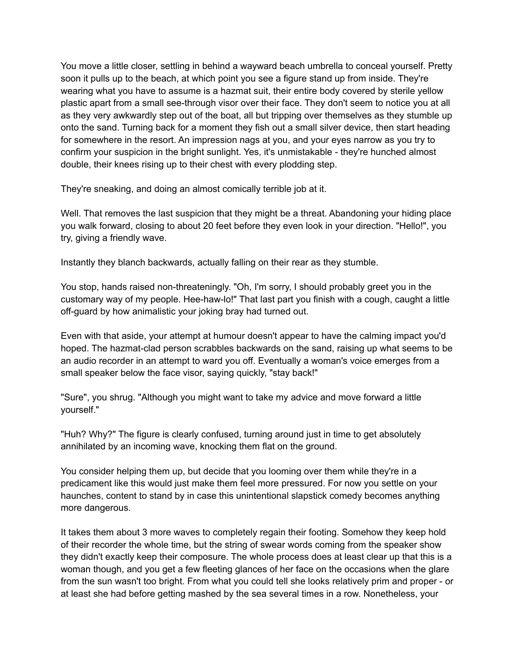You move a little closer, settling in behind a wayward beach umbrella to conceal yourself. Pretty soon it pulls up to the beach, at which point you see a figure stand up from inside. They're wearing what you have to assume is a hazmat suit, their entire body covered by sterile yellow plastic apart from a small see-through visor over their face. They don't seem to notice you at all as they very awkwardly step out of the boat, all but tripping over themselves as they stumble up onto the sand. Turning back for a moment they fish out a small silver device, then start heading for somewhere in the resort. An impression nags at you, and your eyes narrow as you try to confirm your suspicion in the bright sunlight. Yes, it's unmistakable - they're hunched almost double, their knees rising up to their chest with every plodding step.

They're sneaking, and doing an almost comically terrible job at it.

Well. That removes the last suspicion that they might be a threat. Abandoning your hiding place you walk forward, closing to about 20 feet before they even look in your direction. "Hello!", you try, giving a friendly wave.

Instantly they blanch backwards, actually falling on their rear as they stumble.

You stop, hands raised non-threateningly. "Oh, I'm sorry, I should probably greet you in the customary way of my people. Hee-haw-lo!" That last part you finish with a cough, caught a little off-guard by how animalistic your joking bray had turned out.

Even with that aside, your attempt at humour doesn't appear to have the calming impact you'd hoped. The hazmat-clad person scrabbles backwards on the sand, raising up what seems to be an audio recorder in an attempt to ward you off. Eventually a woman's voice emerges from a small speaker below the face visor, saying quickly, "stay back!"

"Sure", you shrug. "Although you might want to take my advice and move forward a little yourself."

"Huh? Why?" The figure is clearly confused, turning around just in time to get absolutely annihilated by an incoming wave, knocking them flat on the ground.

You consider helping them up, but decide that you looming over them while they're in a predicament like this would just make them feel more pressured. For now you settle on your haunches, content to stand by in case this unintentional slapstick comedy becomes anything more dangerous.

It takes them about 3 more waves to completely regain their footing. Somehow they keep hold of their recorder the whole time, but the string of swear words coming from the speaker show they didn't exactly keep their composure. The whole process does at least clear up that this is a woman though, and you get a few fleeting glances of her face on the occasions when the glare from the sun wasn't too bright. From what you could tell she looks relatively prim and proper - or at least she had before getting mashed by the sea several times in a row. Nonetheless, your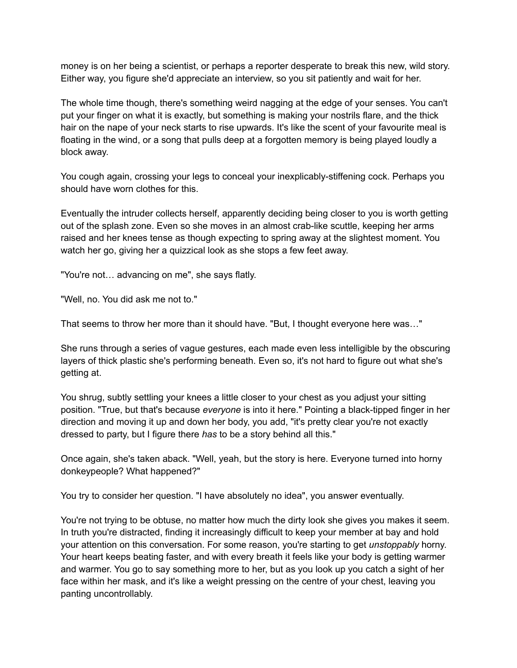money is on her being a scientist, or perhaps a reporter desperate to break this new, wild story. Either way, you figure she'd appreciate an interview, so you sit patiently and wait for her.

The whole time though, there's something weird nagging at the edge of your senses. You can't put your finger on what it is exactly, but something is making your nostrils flare, and the thick hair on the nape of your neck starts to rise upwards. It's like the scent of your favourite meal is floating in the wind, or a song that pulls deep at a forgotten memory is being played loudly a block away.

You cough again, crossing your legs to conceal your inexplicably-stiffening cock. Perhaps you should have worn clothes for this.

Eventually the intruder collects herself, apparently deciding being closer to you is worth getting out of the splash zone. Even so she moves in an almost crab-like scuttle, keeping her arms raised and her knees tense as though expecting to spring away at the slightest moment. You watch her go, giving her a quizzical look as she stops a few feet away.

"You're not… advancing on me", she says flatly.

"Well, no. You did ask me not to."

That seems to throw her more than it should have. "But, I thought everyone here was…"

She runs through a series of vague gestures, each made even less intelligible by the obscuring layers of thick plastic she's performing beneath. Even so, it's not hard to figure out what she's getting at.

You shrug, subtly settling your knees a little closer to your chest as you adjust your sitting position. "True, but that's because *everyone* is into it here." Pointing a black-tipped finger in her direction and moving it up and down her body, you add, "it's pretty clear you're not exactly dressed to party, but I figure there *has* to be a story behind all this."

Once again, she's taken aback. "Well, yeah, but the story is here. Everyone turned into horny donkeypeople? What happened?"

You try to consider her question. "I have absolutely no idea", you answer eventually.

You're not trying to be obtuse, no matter how much the dirty look she gives you makes it seem. In truth you're distracted, finding it increasingly difficult to keep your member at bay and hold your attention on this conversation. For some reason, you're starting to get *unstoppably* horny. Your heart keeps beating faster, and with every breath it feels like your body is getting warmer and warmer. You go to say something more to her, but as you look up you catch a sight of her face within her mask, and it's like a weight pressing on the centre of your chest, leaving you panting uncontrollably.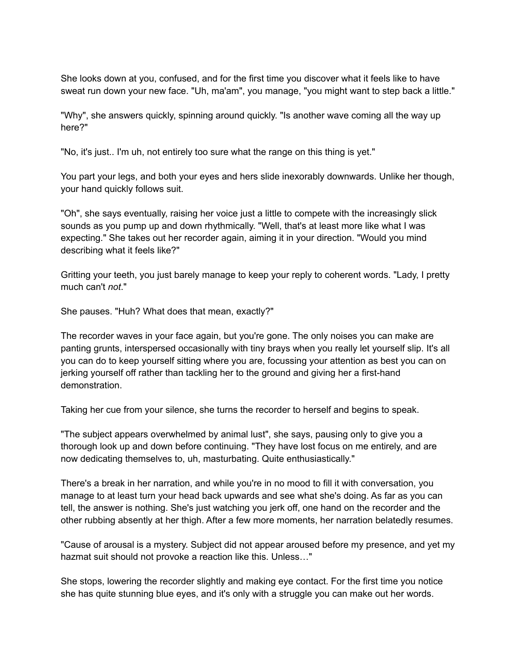She looks down at you, confused, and for the first time you discover what it feels like to have sweat run down your new face. "Uh, ma'am", you manage, "you might want to step back a little."

"Why", she answers quickly, spinning around quickly. "Is another wave coming all the way up here?"

"No, it's just.. I'm uh, not entirely too sure what the range on this thing is yet."

You part your legs, and both your eyes and hers slide inexorably downwards. Unlike her though, your hand quickly follows suit.

"Oh", she says eventually, raising her voice just a little to compete with the increasingly slick sounds as you pump up and down rhythmically. "Well, that's at least more like what I was expecting." She takes out her recorder again, aiming it in your direction. "Would you mind describing what it feels like?"

Gritting your teeth, you just barely manage to keep your reply to coherent words. "Lady, I pretty much can't *not*."

She pauses. "Huh? What does that mean, exactly?"

The recorder waves in your face again, but you're gone. The only noises you can make are panting grunts, interspersed occasionally with tiny brays when you really let yourself slip. It's all you can do to keep yourself sitting where you are, focussing your attention as best you can on jerking yourself off rather than tackling her to the ground and giving her a first-hand demonstration.

Taking her cue from your silence, she turns the recorder to herself and begins to speak.

"The subject appears overwhelmed by animal lust", she says, pausing only to give you a thorough look up and down before continuing. "They have lost focus on me entirely, and are now dedicating themselves to, uh, masturbating. Quite enthusiastically."

There's a break in her narration, and while you're in no mood to fill it with conversation, you manage to at least turn your head back upwards and see what she's doing. As far as you can tell, the answer is nothing. She's just watching you jerk off, one hand on the recorder and the other rubbing absently at her thigh. After a few more moments, her narration belatedly resumes.

"Cause of arousal is a mystery. Subject did not appear aroused before my presence, and yet my hazmat suit should not provoke a reaction like this. Unless…"

She stops, lowering the recorder slightly and making eye contact. For the first time you notice she has quite stunning blue eyes, and it's only with a struggle you can make out her words.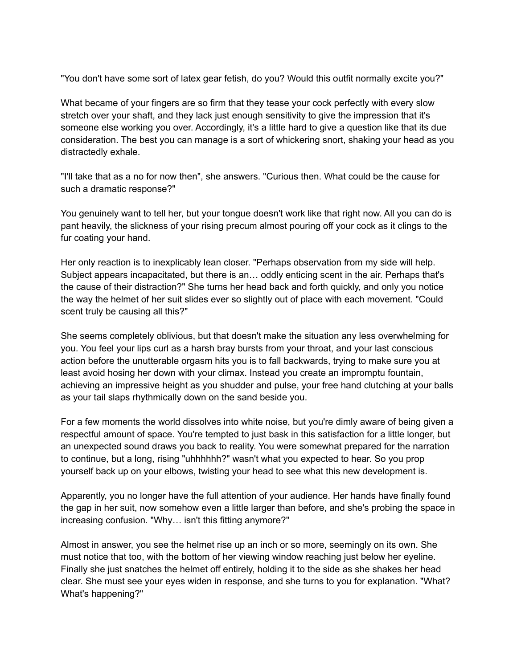"You don't have some sort of latex gear fetish, do you? Would this outfit normally excite you?"

What became of your fingers are so firm that they tease your cock perfectly with every slow stretch over your shaft, and they lack just enough sensitivity to give the impression that it's someone else working you over. Accordingly, it's a little hard to give a question like that its due consideration. The best you can manage is a sort of whickering snort, shaking your head as you distractedly exhale.

"I'll take that as a no for now then", she answers. "Curious then. What could be the cause for such a dramatic response?"

You genuinely want to tell her, but your tongue doesn't work like that right now. All you can do is pant heavily, the slickness of your rising precum almost pouring off your cock as it clings to the fur coating your hand.

Her only reaction is to inexplicably lean closer. "Perhaps observation from my side will help. Subject appears incapacitated, but there is an… oddly enticing scent in the air. Perhaps that's the cause of their distraction?" She turns her head back and forth quickly, and only you notice the way the helmet of her suit slides ever so slightly out of place with each movement. "Could scent truly be causing all this?"

She seems completely oblivious, but that doesn't make the situation any less overwhelming for you. You feel your lips curl as a harsh bray bursts from your throat, and your last conscious action before the unutterable orgasm hits you is to fall backwards, trying to make sure you at least avoid hosing her down with your climax. Instead you create an impromptu fountain, achieving an impressive height as you shudder and pulse, your free hand clutching at your balls as your tail slaps rhythmically down on the sand beside you.

For a few moments the world dissolves into white noise, but you're dimly aware of being given a respectful amount of space. You're tempted to just bask in this satisfaction for a little longer, but an unexpected sound draws you back to reality. You were somewhat prepared for the narration to continue, but a long, rising "uhhhhhh?" wasn't what you expected to hear. So you prop yourself back up on your elbows, twisting your head to see what this new development is.

Apparently, you no longer have the full attention of your audience. Her hands have finally found the gap in her suit, now somehow even a little larger than before, and she's probing the space in increasing confusion. "Why… isn't this fitting anymore?"

Almost in answer, you see the helmet rise up an inch or so more, seemingly on its own. She must notice that too, with the bottom of her viewing window reaching just below her eyeline. Finally she just snatches the helmet off entirely, holding it to the side as she shakes her head clear. She must see your eyes widen in response, and she turns to you for explanation. "What? What's happening?"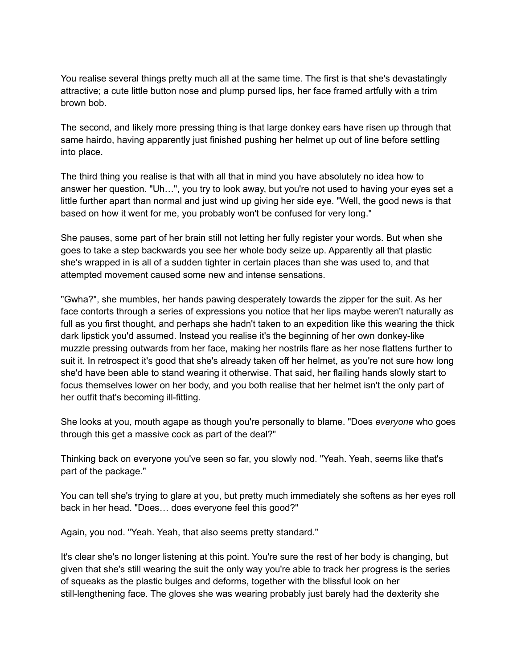You realise several things pretty much all at the same time. The first is that she's devastatingly attractive; a cute little button nose and plump pursed lips, her face framed artfully with a trim brown bob.

The second, and likely more pressing thing is that large donkey ears have risen up through that same hairdo, having apparently just finished pushing her helmet up out of line before settling into place.

The third thing you realise is that with all that in mind you have absolutely no idea how to answer her question. "Uh…", you try to look away, but you're not used to having your eyes set a little further apart than normal and just wind up giving her side eye. "Well, the good news is that based on how it went for me, you probably won't be confused for very long."

She pauses, some part of her brain still not letting her fully register your words. But when she goes to take a step backwards you see her whole body seize up. Apparently all that plastic she's wrapped in is all of a sudden tighter in certain places than she was used to, and that attempted movement caused some new and intense sensations.

"Gwha?", she mumbles, her hands pawing desperately towards the zipper for the suit. As her face contorts through a series of expressions you notice that her lips maybe weren't naturally as full as you first thought, and perhaps she hadn't taken to an expedition like this wearing the thick dark lipstick you'd assumed. Instead you realise it's the beginning of her own donkey-like muzzle pressing outwards from her face, making her nostrils flare as her nose flattens further to suit it. In retrospect it's good that she's already taken off her helmet, as you're not sure how long she'd have been able to stand wearing it otherwise. That said, her flailing hands slowly start to focus themselves lower on her body, and you both realise that her helmet isn't the only part of her outfit that's becoming ill-fitting.

She looks at you, mouth agape as though you're personally to blame. "Does *everyone* who goes through this get a massive cock as part of the deal?"

Thinking back on everyone you've seen so far, you slowly nod. "Yeah. Yeah, seems like that's part of the package."

You can tell she's trying to glare at you, but pretty much immediately she softens as her eyes roll back in her head. "Does… does everyone feel this good?"

Again, you nod. "Yeah. Yeah, that also seems pretty standard."

It's clear she's no longer listening at this point. You're sure the rest of her body is changing, but given that she's still wearing the suit the only way you're able to track her progress is the series of squeaks as the plastic bulges and deforms, together with the blissful look on her still-lengthening face. The gloves she was wearing probably just barely had the dexterity she